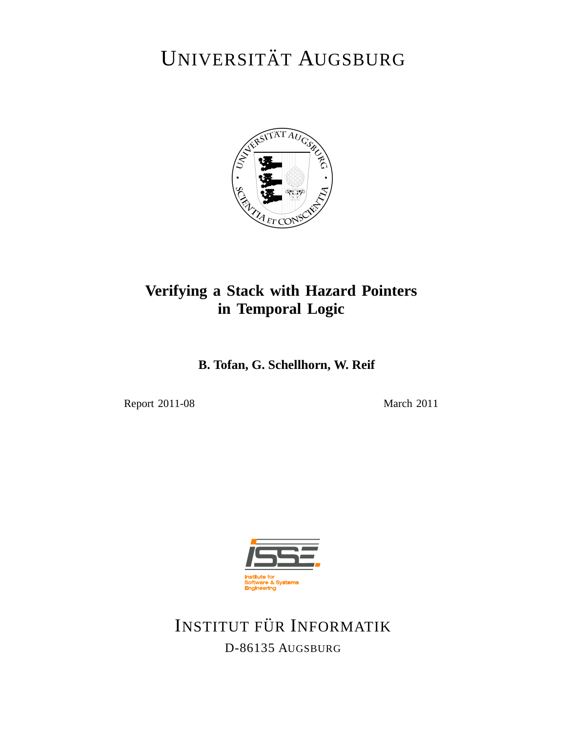# UNIVERSITÄT AUGSBURG



### **Verifying a Stack with Hazard Pointers in Temporal Logic**

**B. Tofan, G. Schellhorn, W. Reif**

Report 2011-08 March 2011



INSTITUT FÜR INFORMATIK D-86135 AUGSBURG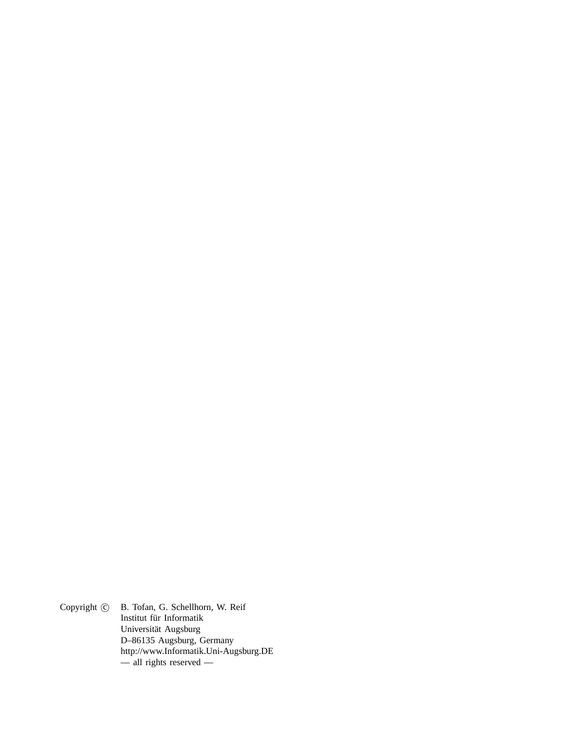Copyright  $\odot$  B. Tofan, G. Schellhorn, W. Reif Institut für Informatik Universität Augsburg D–86135 Augsburg, Germany http://www.Informatik.Uni-Augsburg.DE — all rights reserved —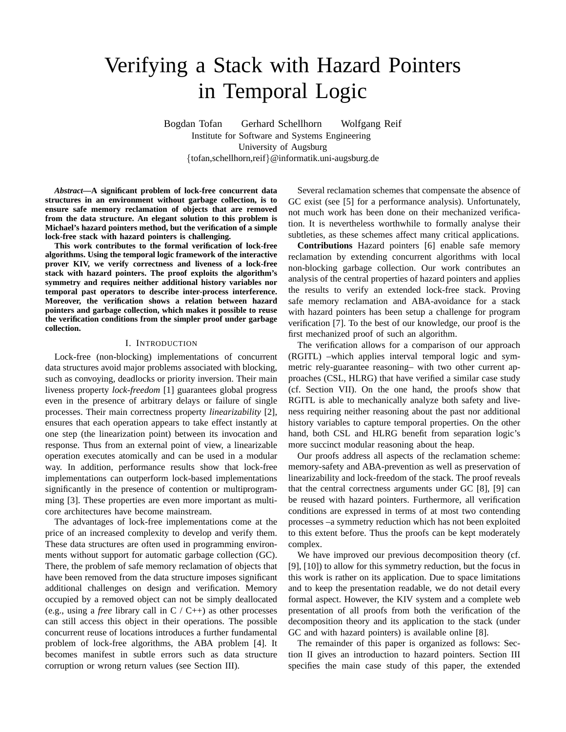## Verifying a Stack with Hazard Pointers in Temporal Logic

Bogdan Tofan Gerhard Schellhorn Wolfgang Reif Institute for Software and Systems Engineering University of Augsburg {tofan,schellhorn,reif}@informatik.uni-augsburg.de

*Abstract***—A significant problem of lock-free concurrent data structures in an environment without garbage collection, is to ensure safe memory reclamation of objects that are removed from the data structure. An elegant solution to this problem is Michael's hazard pointers method, but the verification of a simple lock-free stack with hazard pointers is challenging.**

**This work contributes to the formal verification of lock-free algorithms. Using the temporal logic framework of the interactive prover KIV, we verify correctness and liveness of a lock-free stack with hazard pointers. The proof exploits the algorithm's symmetry and requires neither additional history variables nor temporal past operators to describe inter-process interference. Moreover, the verification shows a relation between hazard pointers and garbage collection, which makes it possible to reuse the verification conditions from the simpler proof under garbage collection.**

#### I. INTRODUCTION

Lock-free (non-blocking) implementations of concurrent data structures avoid major problems associated with blocking, such as convoying, deadlocks or priority inversion. Their main liveness property *lock-freedom* [1] guarantees global progress even in the presence of arbitrary delays or failure of single processes. Their main correctness property *linearizability* [2], ensures that each operation appears to take effect instantly at one step (the linearization point) between its invocation and response. Thus from an external point of view, a linearizable operation executes atomically and can be used in a modular way. In addition, performance results show that lock-free implementations can outperform lock-based implementations significantly in the presence of contention or multiprogramming [3]. These properties are even more important as multicore architectures have become mainstream.

The advantages of lock-free implementations come at the price of an increased complexity to develop and verify them. These data structures are often used in programming environments without support for automatic garbage collection (GC). There, the problem of safe memory reclamation of objects that have been removed from the data structure imposes significant additional challenges on design and verification. Memory occupied by a removed object can not be simply deallocated (e.g., using a *free* library call in C / C++) as other processes can still access this object in their operations. The possible concurrent reuse of locations introduces a further fundamental problem of lock-free algorithms, the ABA problem [4]. It becomes manifest in subtle errors such as data structure corruption or wrong return values (see Section III).

Several reclamation schemes that compensate the absence of GC exist (see [5] for a performance analysis). Unfortunately, not much work has been done on their mechanized verification. It is nevertheless worthwhile to formally analyse their subtleties, as these schemes affect many critical applications.

**Contributions** Hazard pointers [6] enable safe memory reclamation by extending concurrent algorithms with local non-blocking garbage collection. Our work contributes an analysis of the central properties of hazard pointers and applies the results to verify an extended lock-free stack. Proving safe memory reclamation and ABA-avoidance for a stack with hazard pointers has been setup a challenge for program verification [7]. To the best of our knowledge, our proof is the first mechanized proof of such an algorithm.

The verification allows for a comparison of our approach (RGITL) –which applies interval temporal logic and symmetric rely-guarantee reasoning– with two other current approaches (CSL, HLRG) that have verified a similar case study (cf. Section VII). On the one hand, the proofs show that RGITL is able to mechanically analyze both safety and liveness requiring neither reasoning about the past nor additional history variables to capture temporal properties. On the other hand, both CSL and HLRG benefit from separation logic's more succinct modular reasoning about the heap.

Our proofs address all aspects of the reclamation scheme: memory-safety and ABA-prevention as well as preservation of linearizability and lock-freedom of the stack. The proof reveals that the central correctness arguments under GC [8], [9] can be reused with hazard pointers. Furthermore, all verification conditions are expressed in terms of at most two contending processes –a symmetry reduction which has not been exploited to this extent before. Thus the proofs can be kept moderately complex.

We have improved our previous decomposition theory (cf. [9], [10]) to allow for this symmetry reduction, but the focus in this work is rather on its application. Due to space limitations and to keep the presentation readable, we do not detail every formal aspect. However, the KIV system and a complete web presentation of all proofs from both the verification of the decomposition theory and its application to the stack (under GC and with hazard pointers) is available online [8].

The remainder of this paper is organized as follows: Section II gives an introduction to hazard pointers. Section III specifies the main case study of this paper, the extended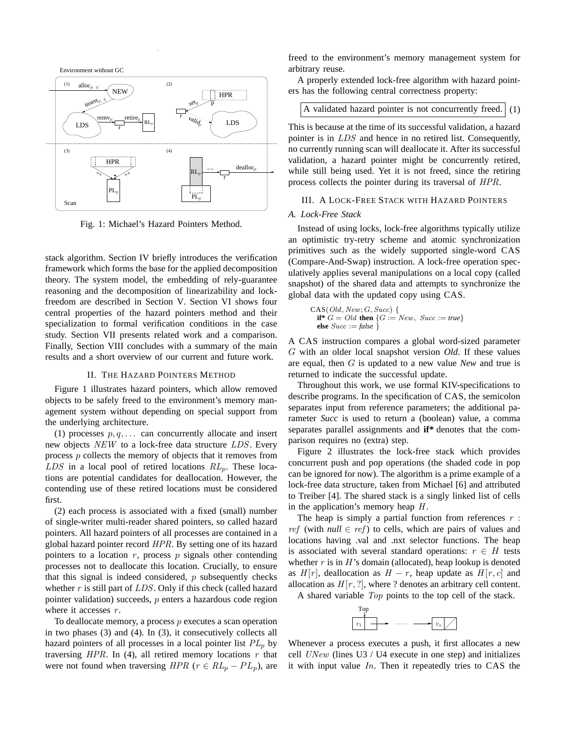

Fig. 1: Michael's Hazard Pointers Method.

stack algorithm. Section IV briefly introduces the verification framework which forms the base for the applied decomposition theory. The system model, the embedding of rely-guarantee reasoning and the decomposition of linearizability and lockfreedom are described in Section V. Section VI shows four central properties of the hazard pointers method and their specialization to formal verification conditions in the case study. Section VII presents related work and a comparison. Finally, Section VIII concludes with a summary of the main results and a short overview of our current and future work.

#### II. THE HAZARD POINTERS METHOD

Figure 1 illustrates hazard pointers, which allow removed objects to be safely freed to the environment's memory management system without depending on special support from the underlying architecture.

(1) processes  $p, q, \ldots$  can concurrently allocate and insert new objects NEW to a lock-free data structure LDS. Every process p collects the memory of objects that it removes from  $LDS$  in a local pool of retired locations  $RL_p$ . These locations are potential candidates for deallocation. However, the contending use of these retired locations must be considered first.

(2) each process is associated with a fixed (small) number of single-writer multi-reader shared pointers, so called hazard pointers. All hazard pointers of all processes are contained in a global hazard pointer record HPR. By setting one of its hazard pointers to a location  $r$ , process  $p$  signals other contending processes not to deallocate this location. Crucially, to ensure that this signal is indeed considered,  $p$  subsequently checks whether  $r$  is still part of  $LDS$ . Only if this check (called hazard pointer validation) succeeds,  $p$  enters a hazardous code region where it accesses  $r$ .

To deallocate memory, a process  $p$  executes a scan operation in two phases (3) and (4). In (3), it consecutively collects all hazard pointers of all processes in a local pointer list  $PL_p$  by traversing  $HPR$ . In (4), all retired memory locations  $r$  that were not found when traversing  $HPR$  ( $r \in RL_p - PL_p$ ), are freed to the environment's memory management system for arbitrary reuse.

A properly extended lock-free algorithm with hazard pointers has the following central correctness property:

#### A validated hazard pointer is not concurrently freed.  $(1)$

This is because at the time of its successful validation, a hazard pointer is in LDS and hence in no retired list. Consequently, no currently running scan will deallocate it. After its successful validation, a hazard pointer might be concurrently retired, while still being used. Yet it is not freed, since the retiring process collects the pointer during its traversal of HPR.

#### III. A LOCK-FREE STACK WITH HAZARD POINTERS

#### *A. Lock-Free Stack*

Instead of using locks, lock-free algorithms typically utilize an optimistic try-retry scheme and atomic synchronization primitives such as the widely supported single-word CAS (Compare-And-Swap) instruction. A lock-free operation speculatively applies several manipulations on a local copy (called snapshot) of the shared data and attempts to synchronize the global data with the updated copy using CAS.

$$
\begin{array}{l}\n\text{CAS}(Old, New; G, Succ) {\n {\text{if*}}\n G = Old then $\{G := New, \; Succ := true\}$\n else \n Succ := false \n}
$$

A CAS instruction compares a global word-sized parameter G with an older local snapshot version *Old*. If these values are equal, then G is updated to a new value *New* and true is returned to indicate the successful update.

Throughout this work, we use formal KIV-specifications to describe programs. In the specification of CAS, the semicolon separates input from reference parameters; the additional parameter *Succ* is used to return a (boolean) value, a comma separates parallel assignments and **if\*** denotes that the comparison requires no (extra) step.

Figure 2 illustrates the lock-free stack which provides concurrent push and pop operations (the shaded code in pop can be ignored for now). The algorithm is a prime example of a lock-free data structure, taken from Michael [6] and attributed to Treiber [4]. The shared stack is a singly linked list of cells in the application's memory heap  $H$ .

The heap is simply a partial function from references  $r$ : *ref* (with *null*  $\in$  *ref*) to cells, which are pairs of values and locations having .val and .nxt selector functions. The heap is associated with several standard operations:  $r \in H$  tests whether  $r$  is in  $H$ 's domain (allocated), heap lookup is denoted as  $H[r]$ , deallocation as  $H - r$ , heap update as  $H[r, c]$  and allocation as  $H[r, ?]$ , where ? denotes an arbitrary cell content.

A shared variable Top points to the top cell of the stack.



Whenever a process executes a push, it first allocates a new cell  $UNew$  (lines U3 / U4 execute in one step) and initializes it with input value  $In.$  Then it repeatedly tries to  $CAS$  the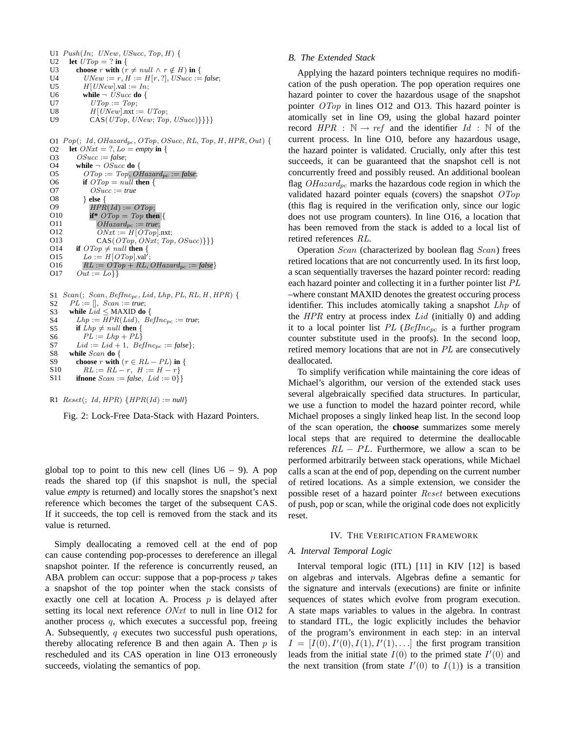U1  $Push(In; \text{ } UNew, \text{ } USucc, \text{Top}, H)$  {  $U2$  $II3$ U4 U5 U6 U<sub>7</sub> U8 U9 **let**  $UTop = ?$  **in** { **choose** r **with**  $(r \neq null \land r \notin H)$  **in** {  $UNew := r$ ,  $H := H[r, ?]$ ,  $USucc := false$ ;  $H[UNew].val := In:$ **while**  $\neg$  *USucc* **do** {  $UTop := Top;$  $H[UNew]$ .nxt :=  $UTop;$  $CAS(\text{UTop}, \text{UNew}; \text{Top}, \text{USucc})\}$ 

O1  $Pop(; Id, OHazaard_{pc}, OTop, OSucc, RL, Top, H, HPR, Out)$ O2 O3  $O<sub>4</sub>$ O5 O6 O7 O8 O9 O10 O11 O12 O13 O14 O15 O16 O17 **let**  $ONxt = ?$ ,  $Lo = empty$  **in** { OSucc := *false*; **while**  $\neg$  *OSucc* **do** {  $\textit{OTop} := \textit{Top}, \textit{OHazard}_{pc} := \textit{false};$ **if**  $\text{OTop} = null$  **then** { OSucc := *true* } **else** {  $HPR(Id) := OTop;$ **if**\*  $\text{OTop} = \text{Top}$  **then** {  $OHazard_{pc} := true;$  $ONxt := H[OTop].$ nxt;  $CAS(OTop, ONxt; Top, OSucc)\}$ **if**  $\text{OTop} \neq \text{null}$  **then** {  $Lo := H[OTop].val'$ ;  $RL := OTop + RL$ ,  $OHazard_{pc} := false$  $Out := Lo\}$ 

```
S1 Scan(; Scan, BefInc_{pc}, Lid, Lhp, PL, RL, H, HPR) {
S2
S3
S4
S5
S6
S7
S8
S9
S10
S11
      PL := [], Scan := true;
      while Lid ≤ MAXID do {
        Lhp := \overline{HPR(Lid)}, \overline{BefInc_{pc}} := true;if Lhp \neq null then {
          PL := Lhp + PLLid := Lid + 1, BefInc_{pc} := false };
      while Scan do {
        choose r with (r \in RL - PL) in {
          RL := RL - r, H := H - rifnone Scan := false, Lid := 0}
```
#### R1  $Reset$ ; *Id*, *HPR*) {*HPR*(*Id*) := *null*}

Fig. 2: Lock-Free Data-Stack with Hazard Pointers.

global top to point to this new cell (lines  $U_0 - 9$ ). A pop reads the shared top (if this snapshot is null, the special value *empty* is returned) and locally stores the snapshot's next reference which becomes the target of the subsequent CAS. If it succeeds, the top cell is removed from the stack and its value is returned.

Simply deallocating a removed cell at the end of pop can cause contending pop-processes to dereference an illegal snapshot pointer. If the reference is concurrently reused, an ABA problem can occur: suppose that a pop-process  $p$  takes a snapshot of the top pointer when the stack consists of exactly one cell at location A. Process  $p$  is delayed after setting its local next reference ONxt to null in line O12 for another process q, which executes a successful pop, freeing A. Subsequently,  $q$  executes two successful push operations, thereby allocating reference B and then again A. Then  $p$  is rescheduled and its CAS operation in line O13 erroneously succeeds, violating the semantics of pop.

#### *B. The Extended Stack*

Applying the hazard pointers technique requires no modification of the push operation. The pop operation requires one hazard pointer to cover the hazardous usage of the snapshot pointer OTop in lines O12 and O13. This hazard pointer is atomically set in line O9, using the global hazard pointer record  $HPR : \mathbb{N} \rightarrow ref$  and the identifier  $Id : \mathbb{N}$  of the current process. In line O10, before any hazardous usage, the hazard pointer is validated. Crucially, only after this test succeeds, it can be guaranteed that the snapshot cell is not concurrently freed and possibly reused. An additional boolean flag  $OHazard_{pc}$  marks the hazardous code region in which the validated hazard pointer equals (covers) the snapshot  $\widehat{OTop}$ (this flag is required in the verification only, since our logic does not use program counters). In line O16, a location that has been removed from the stack is added to a local list of retired references RL.

Operation Scan (characterized by boolean flag Scan) frees retired locations that are not concurrently used. In its first loop, a scan sequentially traverses the hazard pointer record: reading each hazard pointer and collecting it in a further pointer list PL –where constant MAXID denotes the greatest occuring process identifier. This includes atomically taking a snapshot Lhp of the  $HPR$  entry at process index  $Lid$  (initially 0) and adding it to a local pointer list  $PL$  (BefInc<sub>pc</sub> is a further program counter substitute used in the proofs). In the second loop, retired memory locations that are not in PL are consecutively deallocated.

To simplify verification while maintaining the core ideas of Michael's algorithm, our version of the extended stack uses several algebraically specified data structures. In particular, we use a function to model the hazard pointer record, while Michael proposes a singly linked heap list. In the second loop of the scan operation, the **choose** summarizes some merely local steps that are required to determine the deallocable references  $RL - PL$ . Furthermore, we allow a scan to be performed arbitrarily between stack operations, while Michael calls a scan at the end of pop, depending on the current number of retired locations. As a simple extension, we consider the possible reset of a hazard pointer Reset between executions of push, pop or scan, while the original code does not explicitly reset.

#### IV. THE VERIFICATION FRAMEWORK

#### *A. Interval Temporal Logic*

Interval temporal logic (ITL) [11] in KIV [12] is based on algebras and intervals. Algebras define a semantic for the signature and intervals (executions) are finite or infinite sequences of states which evolve from program execution. A state maps variables to values in the algebra. In contrast to standard ITL, the logic explicitly includes the behavior of the program's environment in each step: in an interval  $I = [I(0), I'(0), I(1), I'(1), \ldots]$  the first program transition leads from the initial state  $I(0)$  to the primed state  $I'(0)$  and the next transition (from state  $I'(0)$  to  $I(1)$ ) is a transition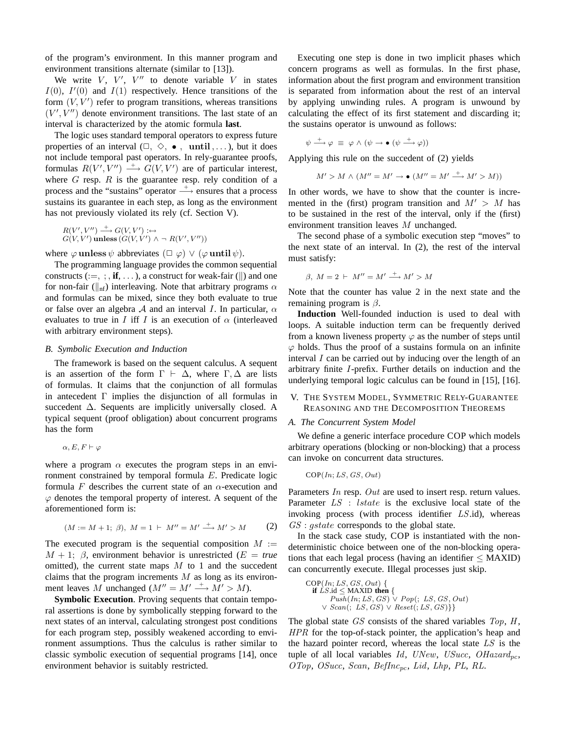of the program's environment. In this manner program and environment transitions alternate (similar to [13]).

We write  $V$ ,  $V'$ ,  $V''$  to denote variable  $V$  in states  $I(0)$ ,  $I'(0)$  and  $I(1)$  respectively. Hence transitions of the form  $(V, V')$  refer to program transitions, whereas transitions  $(V', V'')$  denote environment transitions. The last state of an interval is characterized by the atomic formula **last**.

The logic uses standard temporal operators to express future properties of an interval  $(\square, \Diamond, \bullet, \text{until}, \dots)$ , but it does not include temporal past operators. In rely-guarantee proofs, formulas  $R(V', V'') \longrightarrow G(V, V')$  are of particular interest, where  $G$  resp.  $R$  is the guarantee resp. rely condition of a process and the "sustains" operator  $\stackrel{+}{\longrightarrow}$  ensures that a process sustains its guarantee in each step, as long as the environment has not previously violated its rely (cf. Section V).

$$
R(V',V'') \xrightarrow{+} G(V,V') : \leftrightarrow
$$
  

$$
G(V,V') \text{ unless } (G(V,V') \wedge \neg R(V',V''))
$$

where  $\varphi$  unless  $\psi$  abbreviates  $(\Box \varphi) \vee (\varphi$  until  $\psi)$ .

The programming language provides the common sequential constructs  $(:=, ;, if, ...)$ , a construct for weak-fair ( $\parallel$ ) and one for non-fair ( $\parallel_{\text{nf}}$ ) interleaving. Note that arbitrary programs  $\alpha$ and formulas can be mixed, since they both evaluate to true or false over an algebra A and an interval I. In particular,  $\alpha$ evaluates to true in I iff I is an execution of  $\alpha$  (interleaved with arbitrary environment steps).

#### *B. Symbolic Execution and Induction*

The framework is based on the sequent calculus. A sequent is an assertion of the form  $\Gamma \vdash \Delta$ , where  $\Gamma, \Delta$  are lists of formulas. It claims that the conjunction of all formulas in antecedent Γ implies the disjunction of all formulas in succedent ∆. Sequents are implicitly universally closed. A typical sequent (proof obligation) about concurrent programs has the form

```
\alpha, E, F \vdash \varphi
```
where a program  $\alpha$  executes the program steps in an environment constrained by temporal formula E. Predicate logic formula F describes the current state of an  $\alpha$ -execution and  $\varphi$  denotes the temporal property of interest. A sequent of the aforementioned form is:

$$
(M := M + 1; \beta), M = 1 \vdash M'' = M' \xrightarrow{+} M' > M \tag{2}
$$

The executed program is the sequential composition  $M :=$  $M + 1$ ;  $\beta$ , environment behavior is unrestricted ( $E = true$ ) omitted), the current state maps  $M$  to 1 and the succedent claims that the program increments  $M$  as long as its environment leaves M unchanged  $(M'' = M' \stackrel{+}{\longrightarrow} M' > M)$ .

**Symbolic Execution**. Proving sequents that contain temporal assertions is done by symbolically stepping forward to the next states of an interval, calculating strongest post conditions for each program step, possibly weakened according to environment assumptions. Thus the calculus is rather similar to classic symbolic execution of sequential programs [14], once environment behavior is suitably restricted.

Executing one step is done in two implicit phases which concern programs as well as formulas. In the first phase, information about the first program and environment transition is separated from information about the rest of an interval by applying unwinding rules. A program is unwound by calculating the effect of its first statement and discarding it; the sustains operator is unwound as follows:

$$
\psi \stackrel{+}{\longrightarrow} \varphi \equiv \varphi \land (\psi \rightarrow \bullet (\psi \stackrel{+}{\longrightarrow} \varphi))
$$

Applying this rule on the succedent of (2) yields

$$
M' > M \wedge (M'' = M' \rightarrow \bullet (M'' = M' \xrightarrow{+} M' > M))
$$

In other words, we have to show that the counter is incremented in the (first) program transition and  $M' > M$  has to be sustained in the rest of the interval, only if the (first) environment transition leaves M unchanged.

The second phase of a symbolic execution step "moves" to the next state of an interval. In (2), the rest of the interval must satisfy:

$$
\beta, M = 2 \vdash M'' = M' \xrightarrow{+} M' > M
$$

Note that the counter has value 2 in the next state and the remaining program is  $\beta$ .

**Induction** Well-founded induction is used to deal with loops. A suitable induction term can be frequently derived from a known liveness property  $\varphi$  as the number of steps until  $\varphi$  holds. Thus the proof of a sustains formula on an infinite interval I can be carried out by inducing over the length of an arbitrary finite I-prefix. Further details on induction and the underlying temporal logic calculus can be found in [15], [16].

V. THE SYSTEM MODEL, SYMMETRIC RELY-GUARANTEE REASONING AND THE DECOMPOSITION THEOREMS

#### *A. The Concurrent System Model*

We define a generic interface procedure COP which models arbitrary operations (blocking or non-blocking) that a process can invoke on concurrent data structures.

$$
COP(In; LS, GS, Out)
$$

Parameters In resp. Out are used to insert resp. return values. Parameter  $LS$ : *lstate* is the exclusive local state of the invoking process (with process identifier LS.id), whereas  $GS: qstate$  corresponds to the global state.

In the stack case study, COP is instantiated with the nondeterministic choice between one of the non-blocking operations that each legal process (having an identifier  $\leq$  MAXID) can concurrently execute. Illegal processes just skip.

 $COP(In; LS, GS, Out)$  { **if**  $LS$  id  $\leq$  MAXID **then** {  $Pu\bar{sh}(In;LS,GS) \vee Pop(;LS,GS,Out)$  $\vee$  Scan(; LS, GS)  $\vee$  Reset(; LS, GS)}}

The global state  $GS$  consists of the shared variables  $Top, H$ , HPR for the top-of-stack pointer, the application's heap and the hazard pointer record, whereas the local state LS is the tuple of all local variables  $Id$ , UNew, USucc, OHazard<sub>pc</sub>, OTop, OSucc, Scan, BefInc<sub>pc</sub>, Lid, Lhp, PL, RL.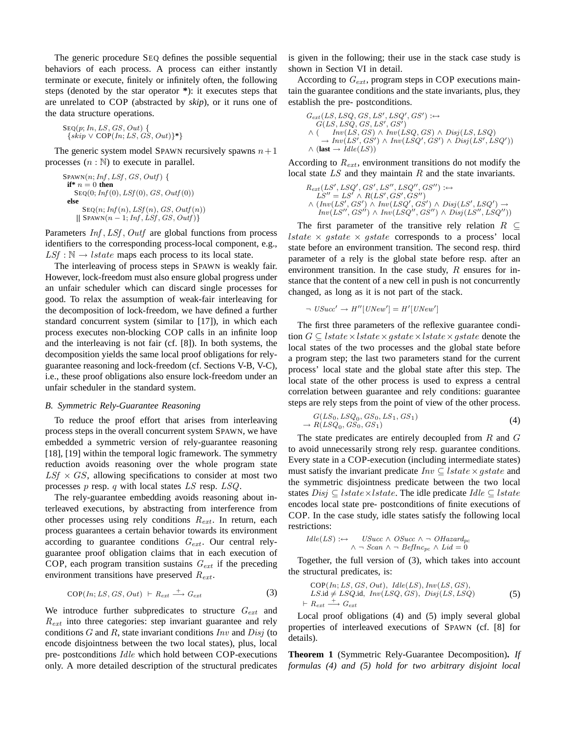The generic procedure SEQ defines the possible sequential behaviors of each process. A process can either instantly terminate or execute, finitely or infinitely often, the following steps (denoted by the star operator **\***): it executes steps that are unrelated to COP (abstracted by *skip*), or it runs one of the data structure operations.

 $Step(p; In, LS, GS, Out)$  $\{skip \forall$  (*Skip*  $\vee$  COP(*In*; *LS*, *GS*, *Out*) $\}^*$ 

The generic system model SPAWN recursively spawns  $n+1$ processes  $(n : \mathbb{N})$  to execute in parallel.

 $S$ PAWN $(n; Inf, LSf, GS, Outf)$  { **if**\*  $n = 0$  **then**  $S_{EQ}(0; Inf(0), LST(0), GS, Outf(0))$ **else**  $\text{Seq}(n; Inf(n), LSt(n), GS, Outf(n))$  $\{$  SPAWN(n – 1; Inf, LSf, GS, Outf) $\}$ 

Parameters  $Inf, LSf, Outf$  are global functions from process identifiers to the corresponding process-local component, e.g.,  $LSf : \mathbb{N} \rightarrow \text{lstate maps each process to its local state.}$ 

The interleaving of process steps in SPAWN is weakly fair. However, lock-freedom must also ensure global progress under an unfair scheduler which can discard single processes for good. To relax the assumption of weak-fair interleaving for the decomposition of lock-freedom, we have defined a further standard concurrent system (similar to [17]), in which each process executes non-blocking COP calls in an infinite loop and the interleaving is not fair (cf. [8]). In both systems, the decomposition yields the same local proof obligations for relyguarantee reasoning and lock-freedom (cf. Sections V-B, V-C), i.e., these proof obligations also ensure lock-freedom under an unfair scheduler in the standard system.

#### *B. Symmetric Rely-Guarantee Reasoning*

To reduce the proof effort that arises from interleaving process steps in the overall concurrent system SPAWN, we have embedded a symmetric version of rely-guarantee reasoning [18], [19] within the temporal logic framework. The symmetry reduction avoids reasoning over the whole program state  $LSf \times GS$ , allowing specifications to consider at most two processes  $p$  resp.  $q$  with local states  $LS$  resp.  $LSQ$ .

The rely-guarantee embedding avoids reasoning about interleaved executions, by abstracting from interference from other processes using rely conditions  $R_{ext}$ . In return, each process guarantees a certain behavior towards its environment according to guarantee conditions  $G_{ext}$ . Our central relyguarantee proof obligation claims that in each execution of COP, each program transition sustains  $G_{ext}$  if the preceding environment transitions have preserved  $R_{ext}$ .

$$
COP(In; LS, GS, Out) \vdash R_{ext} \xrightarrow{+} G_{ext}
$$
 (3)

We introduce further subpredicates to structure  $G_{ext}$  and  $R_{ext}$  into three categories: step invariant guarantee and rely conditions  $G$  and  $R$ , state invariant conditions  $Inv$  and  $Disj$  (to encode disjointness between the two local states), plus, local pre- postconditions Idle which hold between COP-executions only. A more detailed description of the structural predicates is given in the following; their use in the stack case study is shown in Section VI in detail.

According to  $G_{ext}$ , program steps in COP executions maintain the guarantee conditions and the state invariants, plus, they establish the pre- postconditions.

$$
G_{ext}(LS, LSQ, GS, LS', LSQ', GS') :\leftrightarrow
$$
  
\n
$$
G(LS, LSQ, GS, LS', GS')
$$
  
\n
$$
\wedge \begin{pmatrix} Inv(LS, GS) \wedge Inv(LSQ, GS) \wedge Disj(LS, LSQ) \\ \neg Inv(LS', GS') \wedge Inv(LSQ', GS') \wedge Disj(LS', LSQ') \end{pmatrix}
$$
  
\n
$$
\wedge \begin{pmatrix} \textbf{last} \rightarrow \textbf{Id}e(LS) \end{pmatrix}
$$

According to  $R_{ext}$ , environment transitions do not modify the local state LS and they maintain R and the state invariants.

$$
R_{ext}(LS',LSQ',GS',LS'',LSQ'',GS'') :\leftrightarrow
$$
  
\n
$$
LS'' = LS' \land R(LS',GS',GS'')
$$
  
\n
$$
\land (Inv(LS',GS') \land Inv(LSQ',GS') \land Disj(LS',LSQ') \rightarrow
$$
  
\n
$$
Inv(LS'',GS'') \land Inv(LSQ'',GS'') \land Disj(LS'',LSQ''))
$$

The first parameter of the transitive rely relation  $R \subseteq$ *lstate*  $\times$  *gstate*  $\times$  *gstate* corresponds to a process' local state before an environment transition. The second resp. third parameter of a rely is the global state before resp. after an environment transition. In the case study,  $R$  ensures for instance that the content of a new cell in push is not concurrently changed, as long as it is not part of the stack.

$$
\neg \text{ } USucc' \rightarrow H''[UNew'] = H'[UNew']
$$

The first three parameters of the reflexive guarantee condition  $G \subseteq$  lstate  $\times$  lstate  $\times$  gstate  $\times$  lstate  $\times$  gstate denote the local states of the two processes and the global state before a program step; the last two parameters stand for the current process' local state and the global state after this step. The local state of the other process is used to express a central correlation between guarantee and rely conditions: guarantee steps are rely steps from the point of view of the other process.

$$
G(LS_0, LSQ_0, GS_0, LS_1, GS_1)
$$
  
\n
$$
\rightarrow R(LSQ_0, GS_0, GS_1)
$$
\n(4)

The state predicates are entirely decoupled from  $R$  and  $G$ to avoid unnecessarily strong rely resp. guarantee conditions. Every state in a COP-execution (including intermediate states) must satisfy the invariant predicate  $Inv \subseteq kstate \times gstate$  and the symmetric disjointness predicate between the two local states  $Disj \subseteq kstate \times kstate$ . The idle predicate  $Idle \subseteq kstate$ encodes local state pre- postconditions of finite executions of COP. In the case study, idle states satisfy the following local restrictions:

$$
I dle(LS) : \leftrightarrow \quad \text{USucc} \land \text{OSucc} \land \neg \text{ OHazard}_{pc} \\ \land \neg \text{Scan} \land \neg \text{ BefInc}_{pc} \land \text{Lid} = 0
$$

Together, the full version of (3), which takes into account the structural predicates, is:

$$
COP(In; LS, GS, Out), \, \text{Idle}(LS), \text{Inv}(LS, GS),\nLS.id \neq LSQ.id, \, \text{Inv}(LSQ, GS), \, \text{Disj}(LS, LSQ)\n\vdash R_{ext} \xrightarrow{+} G_{ext}
$$
\n(5)

Local proof obligations (4) and (5) imply several global properties of interleaved executions of SPAWN (cf. [8] for details).

**Theorem 1** (Symmetric Rely-Guarantee Decomposition)**.** *If formulas (4) and (5) hold for two arbitrary disjoint local*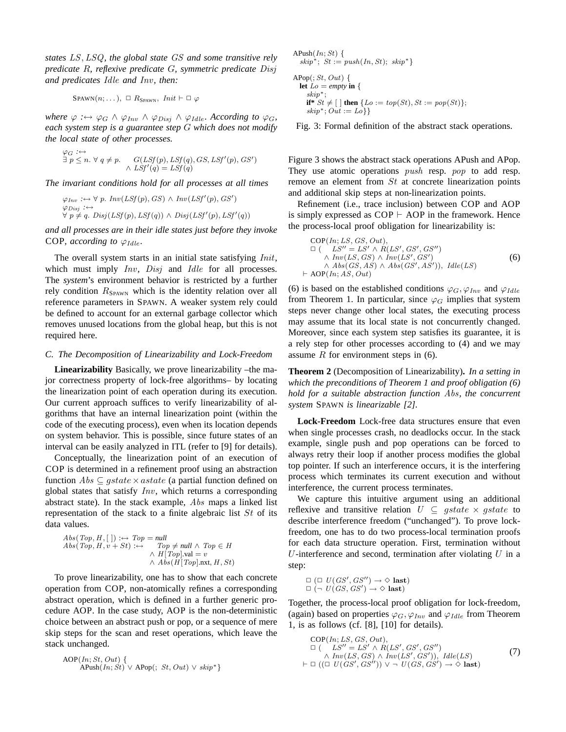*states* LS, LSQ*, the global state* GS *and some transitive rely predicate* R*, reflexive predicate* G*, symmetric predicate* Disj *and predicates* Idle *and* Inv*, then:*

$$
SPANN(n; ...), \Box R_{SPANN}, \text{Init} \vdash \Box \varphi
$$

*where*  $\varphi : \leftrightarrow \varphi_G \land \varphi_{Inv} \land \varphi_{Disj} \land \varphi_{Idle}$ *. According to*  $\varphi_G$ *, each system step is a guarantee step* G *which does not modify the local state of other processes.*

$$
\vartheta G : \leftrightarrow \exists p \le n. \forall q \ne p. \quad G(LSf(p), LSf(q), GS, LSf'(p), GS')
$$
  

$$
\land LSf'(q) = LSf(q)
$$

*The invariant conditions hold for all processes at all times*

$$
\varphi_{Inv} : \leftrightarrow \forall p. Inv(LSf(p), GS) \land Inv(LSf'(p), GS')
$$
  
\n
$$
\varphi_{Disj} : \leftrightarrow
$$
  
\n
$$
\forall p \neq q. Disj(LSf(p), LSf(q)) \land Disj(LSf'(p), LSf'(q))
$$

*and all processes are in their idle states just before they invoke* COP, according to  $\varphi_{Idle}$ .

The overall system starts in an initial state satisfying *Init*, which must imply Inv, Disj and Idle for all processes. The *system*'s environment behavior is restricted by a further rely condition  $R_{\text{SPAWN}}$  which is the identity relation over all reference parameters in SPAWN. A weaker system rely could be defined to account for an external garbage collector which removes unused locations from the global heap, but this is not required here.

#### *C. The Decomposition of Linearizability and Lock-Freedom*

**Linearizability** Basically, we prove linearizability –the major correctness property of lock-free algorithms– by locating the linearization point of each operation during its execution. Our current approach suffices to verify linearizability of algorithms that have an internal linearization point (within the code of the executing process), even when its location depends on system behavior. This is possible, since future states of an interval can be easily analyzed in ITL (refer to [9] for details).

Conceptually, the linearization point of an execution of COP is determined in a refinement proof using an abstraction function  $Abs \subseteq qstate \times astate$  (a partial function defined on global states that satisfy  $Inv$ , which returns a corresponding abstract state). In the stack example, Abs maps a linked list representation of the stack to a finite algebraic list  $St$  of its data values.

$$
Abs(Top, H, []) : \leftrightarrow Top = null
$$
  
\n
$$
Abs(Top, H, v + St) : \leftrightarrow Top \neq null \land Top \in H
$$
  
\n
$$
\land H[Top].val = v
$$
  
\n
$$
\land Abs(H[Top].nxt, H, St)
$$

To prove linearizability, one has to show that each concrete operation from COP, non-atomically refines a corresponding abstract operation, which is defined in a further generic procedure AOP. In the case study, AOP is the non-deterministic choice between an abstract push or pop, or a sequence of mere skip steps for the scan and reset operations, which leave the stack unchanged.

$$
AOP(In; St, Out) {\n\nAPush(In; St) \vee APop(:, St, Out) \vee skip^* }
$$

APush $(In; St)$  { skip<sup>\*</sup>;  $St := push(In, St); skip^*$ }

 $APop$  $>; St, Out)$  { **let**  $Lo = empty$  **in** { skip∗; **if**\*  $St \neq [ ]$  **then**  $\{Lo := top(St), St := pop(St)\};$ skip<sup>\*</sup>;  $Out := Lo$ }}

Fig. 3: Formal definition of the abstract stack operations.

Figure 3 shows the abstract stack operations APush and APop. They use atomic operations *push* resp. *pop* to add resp. remove an element from St at concrete linearization points and additional skip steps at non-linearization points.

Refinement (i.e., trace inclusion) between COP and AOP is simply expressed as  $COP \vdash AOP$  in the framework. Hence the process-local proof obligation for linearizability is:

$$
COP(In; LS, GS, Out),\n\square \t(LS'' = LS' \wedge R(LS', GS', GS'')\n\wedge Inv(LS, GS) \wedge Inv(LS', GS')\n\wedge Abs(GS, AS) \wedge Abs(GS', AS')), \tIdle(LS)\n+ AOP(In; AS, Out)
$$
\n(6)

(6) is based on the established conditions  $\varphi_G, \varphi_{Inv}$  and  $\varphi_{Idle}$ from Theorem 1. In particular, since  $\varphi_G$  implies that system steps never change other local states, the executing process may assume that its local state is not concurrently changed. Moreover, since each system step satisfies its guarantee, it is a rely step for other processes according to (4) and we may assume  $R$  for environment steps in (6).

**Theorem 2** (Decomposition of Linearizability)**.** *In a setting in which the preconditions of Theorem 1 and proof obligation (6) hold for a suitable abstraction function* Abs*, the concurrent system* SPAWN *is linearizable [2].*

**Lock-Freedom** Lock-free data structures ensure that even when single processes crash, no deadlocks occur. In the stack example, single push and pop operations can be forced to always retry their loop if another process modifies the global top pointer. If such an interference occurs, it is the interfering process which terminates its current execution and without interference, the current process terminates.

We capture this intuitive argument using an additional reflexive and transitive relation  $U \subseteq gstate \times gstate$  to describe interference freedom ("unchanged"). To prove lockfreedom, one has to do two process-local termination proofs for each data structure operation. First, termination without  $U$ -interference and second, termination after violating  $U$  in a step:

$$
\Box \ (\Box \ U(GS',GS'') \to \Diamond \ \mathbf{last})
$$
  

$$
\Box \ (\neg \ U(GS,GS') \to \Diamond \ \mathbf{last})
$$

Together, the process-local proof obligation for lock-freedom, (again) based on properties  $\varphi_G$ ,  $\varphi_{Inv}$  and  $\varphi_{Idle}$  from Theorem 1, is as follows (cf. [8], [10] for details).

$$
COP(In; LS, GS, Out),
$$
  
\n
$$
\square \quad (LS'' = LS' \land R(LS', GS', GS'')
$$
  
\n
$$
\land Inv(LS, GS) \land Inv(LS', GS')), \text{ Idle}(LS)
$$
  
\n
$$
\vdash \square \ ((\square \ U(GS', GS'')) \lor \neg \ U(GS, GS') \to \Diamond \text{ last})
$$
\n(7)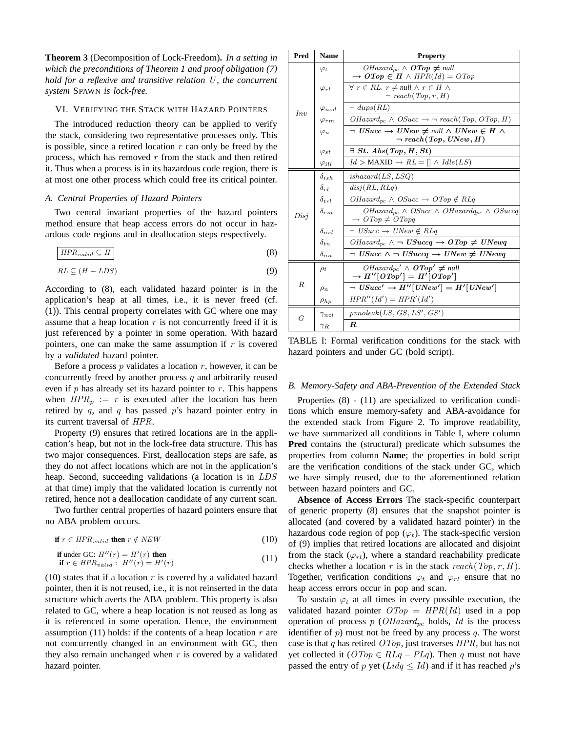**Theorem 3** (Decomposition of Lock-Freedom)**.** *In a setting in which the preconditions of Theorem 1 and proof obligation (7) hold for a reflexive and transitive relation U, the concurrent system* SPAWN *is lock-free.*

#### VI. VERIFYING THE STACK WITH HAZARD POINTERS

The introduced reduction theory can be applied to verify the stack, considering two representative processes only. This is possible, since a retired location  $r$  can only be freed by the process, which has removed  $r$  from the stack and then retired it. Thus when a process is in its hazardous code region, there is at most one other process which could free its critical pointer.

#### *A. Central Properties of Hazard Pointers*

Two central invariant properties of the hazard pointers method ensure that heap access errors do not occur in hazardous code regions and in deallocation steps respectively.

$$
HPR_{valid} \subseteq H \tag{8}
$$

$$
RL \subseteq (H - LDS) \tag{9}
$$

According to (8), each validated hazard pointer is in the application's heap at all times, i.e., it is never freed (cf. (1)). This central property correlates with GC where one may assume that a heap location  $r$  is not concurrently freed if it is just referenced by a pointer in some operation. With hazard pointers, one can make the same assumption if  $r$  is covered by a *validated* hazard pointer.

Before a process  $p$  validates a location  $r$ , however, it can be concurrently freed by another process  $q$  and arbitrarily reused even if  $p$  has already set its hazard pointer to  $r$ . This happens when  $HPR_p := r$  is executed after the location has been retired by  $q$ , and  $q$  has passed  $p$ 's hazard pointer entry in its current traversal of HPR.

Property (9) ensures that retired locations are in the application's heap, but not in the lock-free data structure. This has two major consequences. First, deallocation steps are safe, as they do not affect locations which are not in the application's heap. Second, succeeding validations (a location is in LDS at that time) imply that the validated location is currently not retired, hence not a deallocation candidate of any current scan.

Two further central properties of hazard pointers ensure that no ABA problem occurs.

$$
\text{if } r \in HPR_{valid} \text{ then } r \notin NEW \tag{10}
$$

$$
\text{if under GC: } H''(r) = H'(r) \text{ then}
$$
\n
$$
\text{if } r \in HPR_{valid}: H''(r) = H'(r) \tag{11}
$$

(10) states that if a location  $r$  is covered by a validated hazard pointer, then it is not reused, i.e., it is not reinserted in the data structure which averts the ABA problem. This property is also related to GC, where a heap location is not reused as long as it is referenced in some operation. Hence, the environment assumption (11) holds: if the contents of a heap location  $r$  are not concurrently changed in an environment with GC, then they also remain unchanged when  $r$  is covered by a validated hazard pointer.

| Pred             | <b>Name</b>     | <b>Property</b>                                                                                           |
|------------------|-----------------|-----------------------------------------------------------------------------------------------------------|
| Inv              | $\varphi_t$     | $OHazard_{pc} \wedge \text{ } OTop \neq null$<br>$\rightarrow$ OTop $\in$ H $\land$ HPR(Id) = OTop        |
|                  | $\varphi_{rl}$  | $\forall r \in RL$ . $r \neq null \land r \in H \land$<br>$\neg$ reach $(Top, r, H)$                      |
|                  | $\varphi_{nod}$ | $\neg \text{dups}(RL)$                                                                                    |
|                  | $\varphi_{rm}$  | $OHazard_{pc} \wedge OSucc \rightarrow \neg reach(Top, OTop, H)$                                          |
|                  | $\varphi_n$     | $\neg$ USucc $\rightarrow$ UNew $\neq$ null $\land$ UNew $\in$ H $\land$<br>$\neg \, reach(Top, UNew, H)$ |
|                  | $\varphi_{st}$  | $\exists St. Abs(Top, H, St)$                                                                             |
|                  | $\varphi$ ill   | $Id >$ MAXID $\rightarrow RL = [] \wedge \text{Idle}(LS)$                                                 |
| Disj             | $\delta_{ish}$  | ishazard(LS, LSQ)                                                                                         |
|                  | $\delta_{rl}$   | disj(RL, RLq)                                                                                             |
|                  | $\delta_{trl}$  | $OHazard_{nc} \wedge OSucc \rightarrow OTop \notin RLq$                                                   |
|                  | $\delta_{rm}$   | $OHazard_{pc} \wedge OSucc \wedge OHazardq_{pc} \wedge OSuccq$<br>$\rightarrow$ OTop $\neq$ OTopq         |
|                  | $\delta_{nrl}$  | $\neg$ USucc $\rightarrow$ UNew $\notin$ RLq                                                              |
|                  | $\delta_{tn}$   | $OHazard_{pc} \wedge \neg$ USuccq $\rightarrow$ OTop $\neq$ UNewq                                         |
|                  | $\delta_{nn}$   | $\neg$ USucc $\wedge \neg$ USuccq $\rightarrow$ UNew $\neq$ UNewq                                         |
| $\boldsymbol{R}$ | $\rho_t$        | $OHazard_{pc}^{\prime} \wedge \textbf{OTop'} \neq null$<br>$\rightarrow H''[OTop'] = H'[OTop']$           |
|                  | $\rho_n$        | $\neg$ $USucc' \rightarrow H''[UNew'] = H'[UNew']$                                                        |
|                  | $\rho_{hp}$     | $HPR''(Id') = HPR'(Id')$                                                                                  |
| G                | $\gamma_{nol}$  | prnoleak(LS, GS, LS', GS')                                                                                |
|                  | $\gamma_R$      | $\boldsymbol{R}$                                                                                          |

TABLE I: Formal verification conditions for the stack with hazard pointers and under GC (bold script).

#### *B. Memory-Safety and ABA-Prevention of the Extended Stack*

Properties (8) - (11) are specialized to verification conditions which ensure memory-safety and ABA-avoidance for the extended stack from Figure 2. To improve readability, we have summarized all conditions in Table I, where column **Pred** contains the (structural) predicate which subsumes the properties from column **Name**; the properties in bold script are the verification conditions of the stack under GC, which we have simply reused, due to the aforementioned relation between hazard pointers and GC.

**Absence of Access Errors** The stack-specific counterpart of generic property (8) ensures that the snapshot pointer is allocated (and covered by a validated hazard pointer) in the hazardous code region of pop  $(\varphi_t)$ . The stack-specific version of (9) implies that retired locations are allocated and disjoint from the stack  $(\varphi_{rl})$ , where a standard reachability predicate checks whether a location r is in the stack reach(Top, r, H). Together, verification conditions  $\varphi_t$  and  $\varphi_{rl}$  ensure that no heap access errors occur in pop and scan.

To sustain  $\varphi_t$  at all times in every possible execution, the validated hazard pointer  $\widehat{OTop} = HPR(Id)$  used in a pop operation of process p ( $OHazard_{pc}$  holds, Id is the process identifier of  $p$ ) must not be freed by any process  $q$ . The worst case is that q has retired  $\widehat{OTop}$ , just traverses  $HPR$ , but has not yet collected it ( $\widehat{OTop} \in RLq - PLq$ ). Then q must not have passed the entry of p yet ( $Lidq \leq Id$ ) and if it has reached p's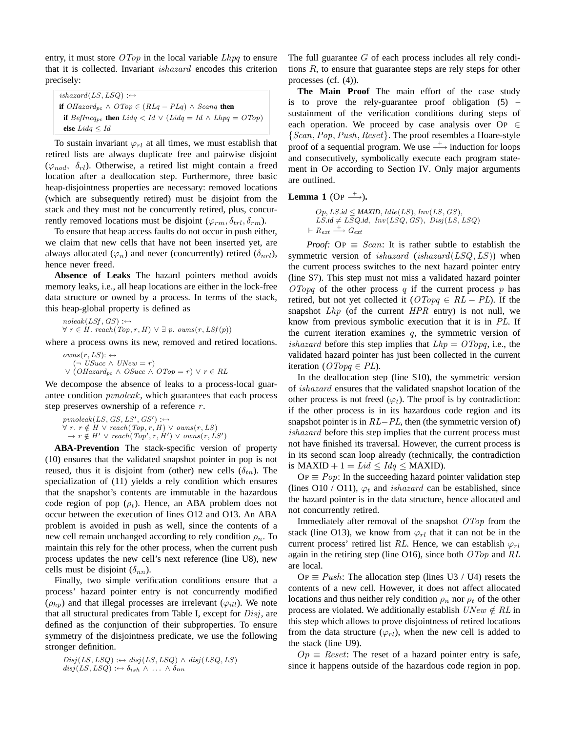entry, it must store  $\langle OTop \rangle$  in the local variable  $Lhpq$  to ensure that it is collected. Invariant ishazard encodes this criterion precisely:

 $ishazard(LS, LSQ) :\leftrightarrow$ **if**  $OHazard_{pc} \wedge OTop \in (RLq - PLq) \wedge Scanq$  **then if** BefIncq<sub>pc</sub> **then**  $Lidq < Id$   $\vee$   $(Lidq = Id \wedge Lhpq = OTop)$ **else** Lidq ≤ Id

To sustain invariant  $\varphi_{rl}$  at all times, we must establish that retired lists are always duplicate free and pairwise disjoint  $(\varphi_{nod}, \delta_{rl})$ . Otherwise, a retired list might contain a freed location after a deallocation step. Furthermore, three basic heap-disjointness properties are necessary: removed locations (which are subsequently retired) must be disjoint from the stack and they must not be concurrently retired, plus, concurrently removed locations must be disjoint ( $\varphi_{rm}, \delta_{trl}, \delta_{rm}$ ).

To ensure that heap access faults do not occur in push either, we claim that new cells that have not been inserted yet, are always allocated ( $\varphi_n$ ) and never (concurrently) retired ( $\delta_{nrl}$ ), hence never freed.

**Absence of Leaks** The hazard pointers method avoids memory leaks, i.e., all heap locations are either in the lock-free data structure or owned by a process. In terms of the stack, this heap-global property is defined as

 $noleak(LSf, GS) :\leftrightarrow$  $\forall r \in H$ . reach(Top, r, H)  $\lor \exists p$ . owns(r, LSf(p))

where a process owns its new, removed and retired locations.

 $owns(r, LS)$ :  $\leftrightarrow$  $(¬'USucc ∧ UNew = r)$  $\vee$  (OHazard<sub>pc</sub> ∧ OSucc ∧ OTop = r)  $\vee$  r ∈ RL

We decompose the absence of leaks to a process-local guarantee condition pvnoleak, which guarantees that each process step preserves ownership of a reference  $r$ .

 $p$ vnoleak $(LS, GS, LS', GS') : \leftrightarrow$  $\forall r. r \notin H \lor reach(Top, r, H) \lor owns(r, LS)$ <br>  $\rightarrow r \notin H' \lor reach(Top', r, H') \lor owns(r, LS')$ 

**ABA-Prevention** The stack-specific version of property (10) ensures that the validated snapshot pointer in pop is not reused, thus it is disjoint from (other) new cells  $(\delta_{tn})$ . The specialization of (11) yields a rely condition which ensures that the snapshot's contents are immutable in the hazardous code region of pop  $(\rho_t)$ . Hence, an ABA problem does not occur between the execution of lines O12 and O13. An ABA problem is avoided in push as well, since the contents of a new cell remain unchanged according to rely condition  $\rho_n$ . To maintain this rely for the other process, when the current push process updates the new cell's next reference (line U8), new cells must be disjoint  $(\delta_{nn})$ .

Finally, two simple verification conditions ensure that a process' hazard pointer entry is not concurrently modified  $(\rho_{hp})$  and that illegal processes are irrelevant  $(\varphi_{ill})$ . We note that all structural predicates from Table I, except for  $Disj$ , are defined as the conjunction of their subproperties. To ensure symmetry of the disjointness predicate, we use the following stronger definition.

$$
Disj(LS,LSQ) : \leftrightarrow disj(LS,LSQ) \land disj(LSQ,LS)
$$
  

$$
disj(LS,LSQ) : \leftrightarrow \delta_{ish} \land \dots \land \delta_{nn}
$$

The full guarantee  $G$  of each process includes all rely conditions R, to ensure that guarantee steps are rely steps for other processes (cf. (4)).

**The Main Proof** The main effort of the case study is to prove the rely-guarantee proof obligation  $(5)$  – sustainment of the verification conditions during steps of each operation. We proceed by case analysis over  $\text{OP} \in$ {Scan,Pop,Push, Reset}. The proof resembles a Hoare-style proof of a sequential program. We use  $\rightarrow$  induction for loops and consecutively, symbolically execute each program statement in OP according to Section IV. Only major arguments are outlined.

### **Lemma 1** (Op  $\stackrel{+}{\longrightarrow}$ ).

 $Op, LS.id \leq MAXID, Idle(LS), Inv(LS, GS),$  $LS_id \neq \overline{LS}Q_id$ ,  $Inv(LSQ, GS)$ ,  $Disj(LS, LSQ)$  $\vdash$   $R_{ext} \stackrel{+}{\longrightarrow} G_{ext}$ 

*Proof:* OP  $\equiv$  *Scan:* It is rather subtle to establish the symmetric version of *ishazard* (*ishazard*( $LSQ, LS$ )) when the current process switches to the next hazard pointer entry (line S7). This step must not miss a validated hazard pointer  $OTopq$  of the other process q if the current process p has retired, but not yet collected it  $(OTopq \in RL - PL)$ . If the snapshot  $Lhp$  (of the current  $HPR$  entry) is not null, we know from previous symbolic execution that it is in PL. If the current iteration examines  $q$ , the symmetric version of *ishazard* before this step implies that  $Lhp = OTopq$ , i.e., the validated hazard pointer has just been collected in the current iteration ( $\text{Orp }q \in PL$ ).

In the deallocation step (line S10), the symmetric version of ishazard ensures that the validated snapshot location of the other process is not freed  $(\varphi_t)$ . The proof is by contradiction: if the other process is in its hazardous code region and its snapshot pointer is in  $RL-PL$ , then (the symmetric version of) ishazard before this step implies that the current process must not have finished its traversal. However, the current process is in its second scan loop already (technically, the contradiction is MAXID + 1 =  $Lid \leq Idq \leq$  MAXID).

OP  $\equiv Pop$ : In the succeeding hazard pointer validation step (lines O10 / O11),  $\varphi_t$  and *ishazard* can be established, since the hazard pointer is in the data structure, hence allocated and not concurrently retired.

Immediately after removal of the snapshot  $\widehat{OTop}$  from the stack (line O13), we know from  $\varphi_{rl}$  that it can not be in the current process' retired list RL. Hence, we can establish  $\varphi_{rl}$ again in the retiring step (line O16), since both  $\widehat{OTop}$  and  $RL$ are local.

OP  $\equiv$  Push: The allocation step (lines U3 / U4) resets the contents of a new cell. However, it does not affect allocated locations and thus neither rely condition  $\rho_n$  nor  $\rho_t$  of the other process are violated. We additionally establish  $UNew \notin RL$  in this step which allows to prove disjointness of retired locations from the data structure  $(\varphi_{rl})$ , when the new cell is added to the stack (line U9).

 $Op \equiv$  Reset: The reset of a hazard pointer entry is safe, since it happens outside of the hazardous code region in pop.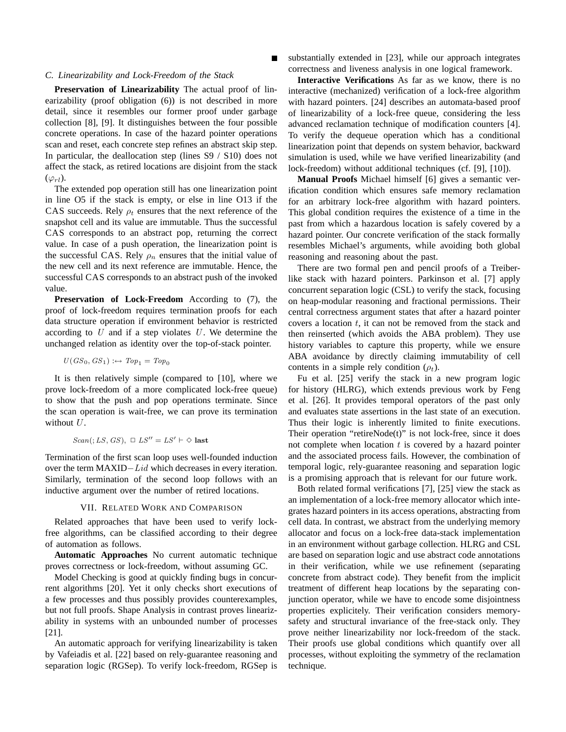#### *C. Linearizability and Lock-Freedom of the Stack*

**Preservation of Linearizability** The actual proof of linearizability (proof obligation (6)) is not described in more detail, since it resembles our former proof under garbage collection [8], [9]. It distinguishes between the four possible concrete operations. In case of the hazard pointer operations scan and reset, each concrete step refines an abstract skip step. In particular, the deallocation step (lines S9 / S10) does not affect the stack, as retired locations are disjoint from the stack  $(\varphi_{rl})$ .

The extended pop operation still has one linearization point in line O5 if the stack is empty, or else in line O13 if the CAS succeeds. Rely  $\rho_t$  ensures that the next reference of the snapshot cell and its value are immutable. Thus the successful CAS corresponds to an abstract pop, returning the correct value. In case of a push operation, the linearization point is the successful CAS. Rely  $\rho_n$  ensures that the initial value of the new cell and its next reference are immutable. Hence, the successful CAS corresponds to an abstract push of the invoked value.

**Preservation of Lock-Freedom** According to (7), the proof of lock-freedom requires termination proofs for each data structure operation if environment behavior is restricted according to  $U$  and if a step violates  $U$ . We determine the unchanged relation as identity over the top-of-stack pointer.

$$
U(GS_0, GS_1) :\leftrightarrow Top_1 = Top_0
$$

It is then relatively simple (compared to [10], where we prove lock-freedom of a more complicated lock-free queue) to show that the push and pop operations terminate. Since the scan operation is wait-free, we can prove its termination without  $U$ .

$$
Scan(:,LS,GS), \ \Box \ LS'' = LS' \vdash \Diamond \ last
$$

Termination of the first scan loop uses well-founded induction over the term MAXID–Lid which decreases in every iteration. Similarly, termination of the second loop follows with an inductive argument over the number of retired locations.

#### VII. RELATED WORK AND COMPARISON

Related approaches that have been used to verify lockfree algorithms, can be classified according to their degree of automation as follows.

**Automatic Approaches** No current automatic technique proves correctness or lock-freedom, without assuming GC.

Model Checking is good at quickly finding bugs in concurrent algorithms [20]. Yet it only checks short executions of a few processes and thus possibly provides counterexamples, but not full proofs. Shape Analysis in contrast proves linearizability in systems with an unbounded number of processes [21].

An automatic approach for verifying linearizability is taken by Vafeiadis et al. [22] based on rely-guarantee reasoning and separation logic (RGSep). To verify lock-freedom, RGSep is substantially extended in [23], while our approach integrates correctness and liveness analysis in one logical framework.

**Interactive Verifications** As far as we know, there is no interactive (mechanized) verification of a lock-free algorithm with hazard pointers. [24] describes an automata-based proof of linearizability of a lock-free queue, considering the less advanced reclamation technique of modification counters [4]. To verify the dequeue operation which has a conditional linearization point that depends on system behavior, backward simulation is used, while we have verified linearizability (and lock-freedom) without additional techniques (cf. [9], [10]).

**Manual Proofs** Michael himself [6] gives a semantic verification condition which ensures safe memory reclamation for an arbitrary lock-free algorithm with hazard pointers. This global condition requires the existence of a time in the past from which a hazardous location is safely covered by a hazard pointer. Our concrete verification of the stack formally resembles Michael's arguments, while avoiding both global reasoning and reasoning about the past.

There are two formal pen and pencil proofs of a Treiberlike stack with hazard pointers. Parkinson et al. [7] apply concurrent separation logic (CSL) to verify the stack, focusing on heap-modular reasoning and fractional permissions. Their central correctness argument states that after a hazard pointer covers a location  $t$ , it can not be removed from the stack and then reinserted (which avoids the ABA problem). They use history variables to capture this property, while we ensure ABA avoidance by directly claiming immutability of cell contents in a simple rely condition  $(\rho_t)$ .

Fu et al. [25] verify the stack in a new program logic for history (HLRG), which extends previous work by Feng et al. [26]. It provides temporal operators of the past only and evaluates state assertions in the last state of an execution. Thus their logic is inherently limited to finite executions. Their operation "retireNode(t)" is not lock-free, since it does not complete when location  $t$  is covered by a hazard pointer and the associated process fails. However, the combination of temporal logic, rely-guarantee reasoning and separation logic is a promising approach that is relevant for our future work.

Both related formal verifications [7], [25] view the stack as an implementation of a lock-free memory allocator which integrates hazard pointers in its access operations, abstracting from cell data. In contrast, we abstract from the underlying memory allocator and focus on a lock-free data-stack implementation in an environment without garbage collection. HLRG and CSL are based on separation logic and use abstract code annotations in their verification, while we use refinement (separating concrete from abstract code). They benefit from the implicit treatment of different heap locations by the separating conjunction operator, while we have to encode some disjointness properties explicitely. Their verification considers memorysafety and structural invariance of the free-stack only. They prove neither linearizability nor lock-freedom of the stack. Their proofs use global conditions which quantify over all processes, without exploiting the symmetry of the reclamation technique.